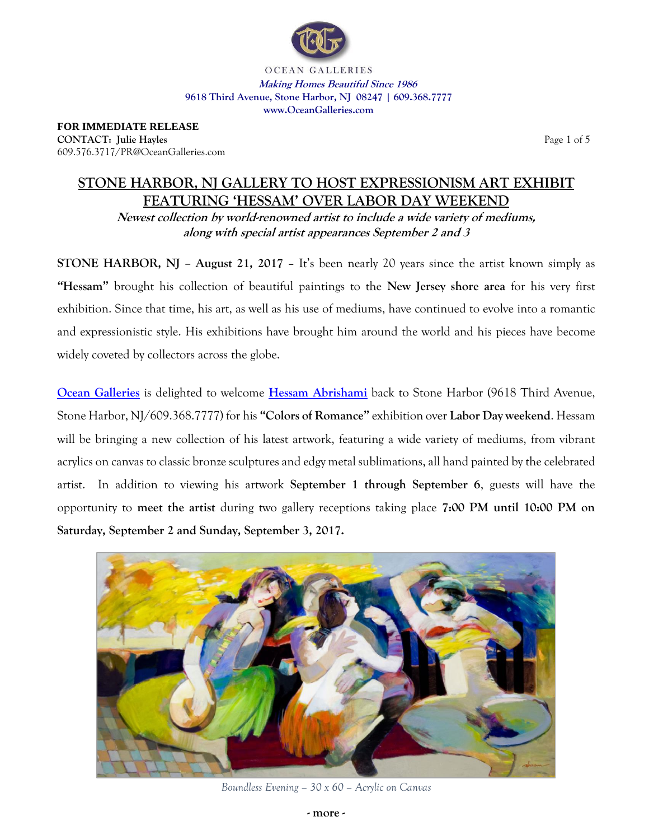

OCEAN GALLERIES **Making Homes Beautiful Since 1986 9618 Third Avenue, Stone Harbor, NJ 08247 | 609.368.7777 [www.OceanG](http://www.ocean/)alleries.com**

**FOR IMMEDIATE RELEASE CONTACT:** Julie Hayles **Page 1 of 5** and 2 and 2 and 2 and 2 and 2 and 2 and 2 and 2 and 2 and 2 and 2 and 3 and 3 and 3 and 4 and 3 and 4 and 4 and 4 and 4 and 4 and 4 and 4 and 4 and 4 and 4 and 4 and 4 and 4 and 4 and 609.576.3717/PR@OceanGalleries.com

# **STONE HARBOR, NJ GALLERY TO HOST EXPRESSIONISM ART EXHIBIT FEATURING 'HESSAM' OVER LABOR DAY WEEKEND**

**Newest collection by world-renowned artist to include a wide variety of mediums, along with special artist appearances September 2 and 3**

**STONE HARBOR, NJ – August 21, 2017** – It's been nearly 20 years since the artist known simply as **"Hessam"** brought his collection of beautiful paintings to the **New Jersey shore area** for his very first exhibition. Since that time, his art, as well as his use of mediums, have continued to evolve into a romantic and expressionistic style. His exhibitions have brought him around the world and his pieces have become widely coveted by collectors across the globe.

**[Ocean Galleries](http://www.oceangalleries.com/)** is delighted to welcome **[Hessam Abrishami](http://www.oceangalleries.com/art-category/art/?at=HESSAMABRISHAMI&cat=2)** back to Stone Harbor (9618 Third Avenue, Stone Harbor, NJ/609.368.7777) for his **"Colors of Romance"** exhibition over **Labor Day weekend**. Hessam will be bringing a new collection of his latest artwork, featuring a wide variety of mediums, from vibrant acrylics on canvas to classic bronze sculptures and edgy metal sublimations, all hand painted by the celebrated artist. In addition to viewing his artwork **September 1 through September 6**, guests will have the opportunity to **meet the artist** during two gallery receptions taking place **7:00 PM until 10:00 PM on Saturday, September 2 and Sunday, September 3, 2017.**



*Boundless Evening – 30 x 60 – Acrylic on Canvas*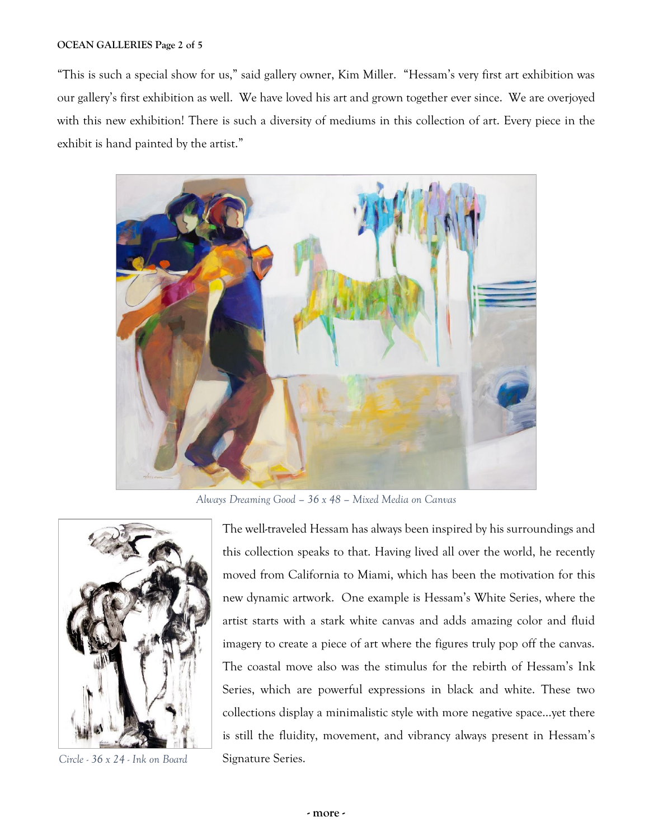## **OCEAN GALLERIES Page 2 of 5**

"This is such a special show for us," said gallery owner, Kim Miller. "Hessam's very first art exhibition was our gallery's first exhibition as well. We have loved his art and grown together ever since. We are overjoyed with this new exhibition! There is such a diversity of mediums in this collection of art. Every piece in the exhibit is hand painted by the artist."



*Always Dreaming Good – 36 x 48 – Mixed Media on Canvas*



*Circle -* 36 x 24 - *Ink on Board* Signature Series.

The well-traveled Hessam has always been inspired by his surroundings and this collection speaks to that. Having lived all over the world, he recently moved from California to Miami, which has been the motivation for this new dynamic artwork. One example is Hessam's White Series, where the artist starts with a stark white canvas and adds amazing color and fluid imagery to create a piece of art where the figures truly pop off the canvas. The coastal move also was the stimulus for the rebirth of Hessam's Ink Series, which are powerful expressions in black and white. These two collections display a minimalistic style with more negative space…yet there is still the fluidity, movement, and vibrancy always present in Hessam's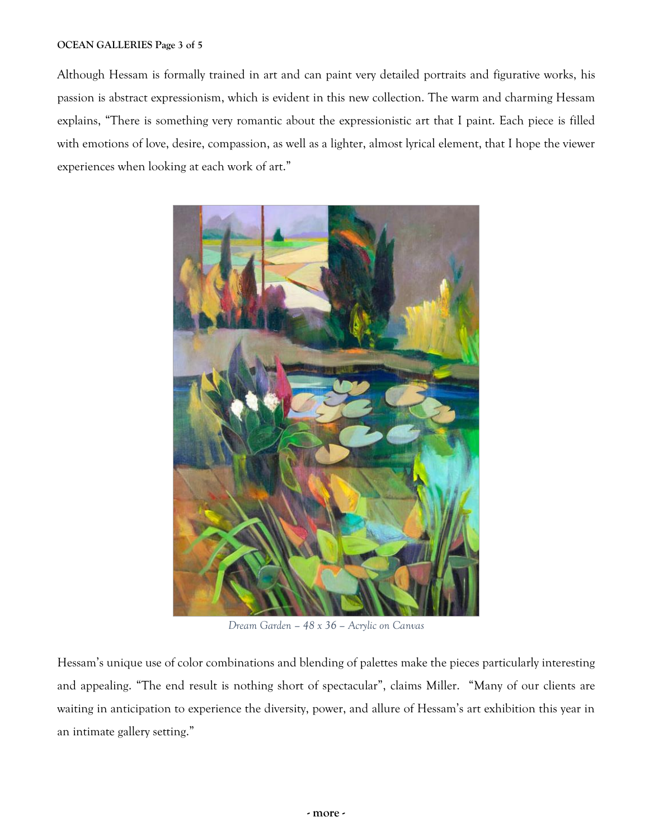## **OCEAN GALLERIES Page 3 of 5**

Although Hessam is formally trained in art and can paint very detailed portraits and figurative works, his passion is abstract expressionism, which is evident in this new collection. The warm and charming Hessam explains, "There is something very romantic about the expressionistic art that I paint. Each piece is filled with emotions of love, desire, compassion, as well as a lighter, almost lyrical element, that I hope the viewer experiences when looking at each work of art."



*Dream Garden – 48 x 36 – Acrylic on Canvas*

Hessam's unique use of color combinations and blending of palettes make the pieces particularly interesting and appealing. "The end result is nothing short of spectacular", claims Miller. "Many of our clients are waiting in anticipation to experience the diversity, power, and allure of Hessam's art exhibition this year in an intimate gallery setting."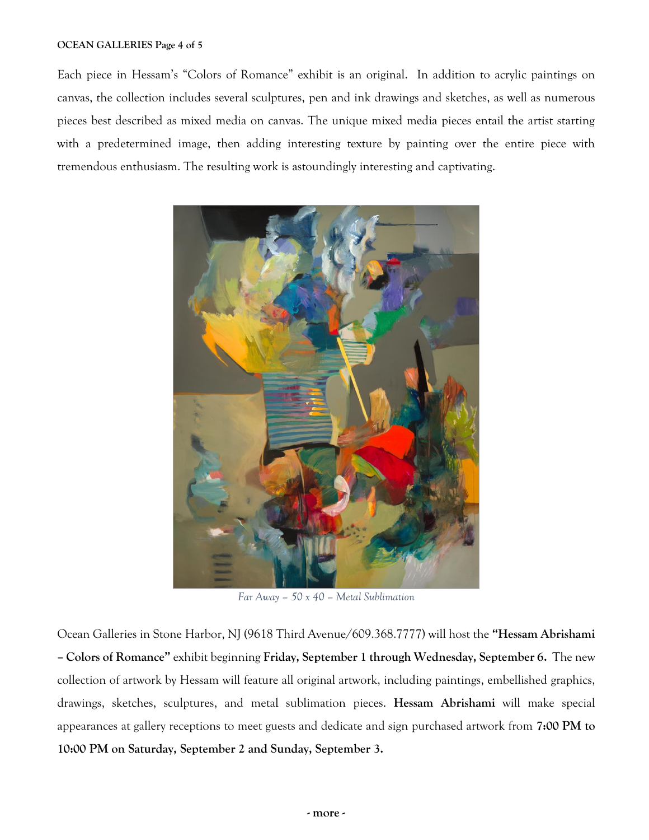### **OCEAN GALLERIES Page 4 of 5**

Each piece in Hessam's "Colors of Romance" exhibit is an original. In addition to acrylic paintings on canvas, the collection includes several sculptures, pen and ink drawings and sketches, as well as numerous pieces best described as mixed media on canvas. The unique mixed media pieces entail the artist starting with a predetermined image, then adding interesting texture by painting over the entire piece with tremendous enthusiasm. The resulting work is astoundingly interesting and captivating.



*Far Away – 50 x 40 – Metal Sublimation*

Ocean Galleries in Stone Harbor, NJ (9618 Third Avenue/609.368.7777) will host the **"Hessam Abrishami – Colors of Romance"** exhibit beginning **Friday, September 1 through Wednesday, September 6.** The new collection of artwork by Hessam will feature all original artwork, including paintings, embellished graphics, drawings, sketches, sculptures, and metal sublimation pieces. **Hessam Abrishami** will make special appearances at gallery receptions to meet guests and dedicate and sign purchased artwork from **7:00 PM to 10:00 PM on Saturday, September 2 and Sunday, September 3.**